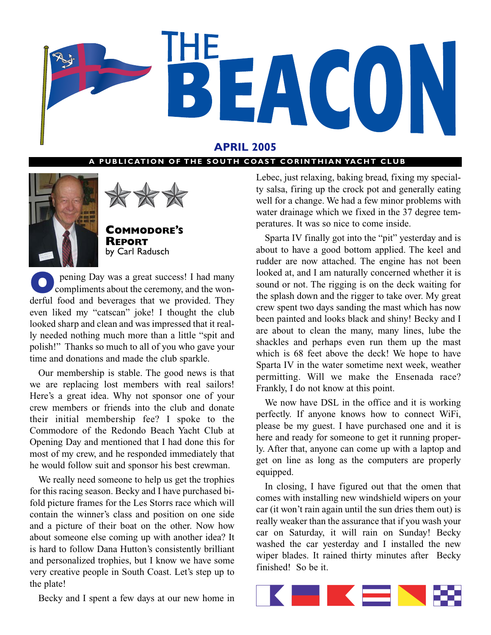

## **APRIL 2005**

#### **PUBLICATION OF THE SOUTH COAST CORINTHIAN YACHT CLUB**





**COMMODORE'S REPORT** by Carl Radusch

**O** pening Day was a great success! I had many<br>compliments about the ceremony, and the woncompliments about the ceremony, and the wonderful food and beverages that we provided. They even liked my "catscan" joke! I thought the club looked sharp and clean and was impressed that it really needed nothing much more than a little "spit and polish!" Thanks so much to all of you who gave your time and donations and made the club sparkle.

Our membership is stable. The good news is that we are replacing lost members with real sailors! Here's a great idea. Why not sponsor one of your crew members or friends into the club and donate their initial membership fee? I spoke to the Commodore of the Redondo Beach Yacht Club at Opening Day and mentioned that I had done this for most of my crew, and he responded immediately that he would follow suit and sponsor his best crewman.

We really need someone to help us get the trophies for this racing season. Becky and I have purchased bifold picture frames for the Les Storrs race which will contain the winner's class and position on one side and a picture of their boat on the other. Now how about someone else coming up with another idea? It is hard to follow Dana Hutton's consistently brilliant and personalized trophies, but I know we have some very creative people in South Coast. Let's step up to the plate!

Becky and I spent a few days at our new home in

Lebec, just relaxing, baking bread, fixing my specialty salsa, firing up the crock pot and generally eating well for a change. We had a few minor problems with water drainage which we fixed in the 37 degree temperatures. It was so nice to come inside.

Sparta IV finally got into the "pit" yesterday and is about to have a good bottom applied. The keel and rudder are now attached. The engine has not been looked at, and I am naturally concerned whether it is sound or not. The rigging is on the deck waiting for the splash down and the rigger to take over. My great crew spent two days sanding the mast which has now been painted and looks black and shiny! Becky and I are about to clean the many, many lines, lube the shackles and perhaps even run them up the mast which is 68 feet above the deck! We hope to have Sparta IV in the water sometime next week, weather permitting. Will we make the Ensenada race? Frankly, I do not know at this point.

We now have DSL in the office and it is working perfectly. If anyone knows how to connect WiFi, please be my guest. I have purchased one and it is here and ready for someone to get it running properly. After that, anyone can come up with a laptop and get on line as long as the computers are properly equipped.

In closing, I have figured out that the omen that comes with installing new windshield wipers on your car (it won't rain again until the sun dries them out) is really weaker than the assurance that if you wash your car on Saturday, it will rain on Sunday! Becky washed the car yesterday and I installed the new wiper blades. It rained thirty minutes after Becky finished! So be it.

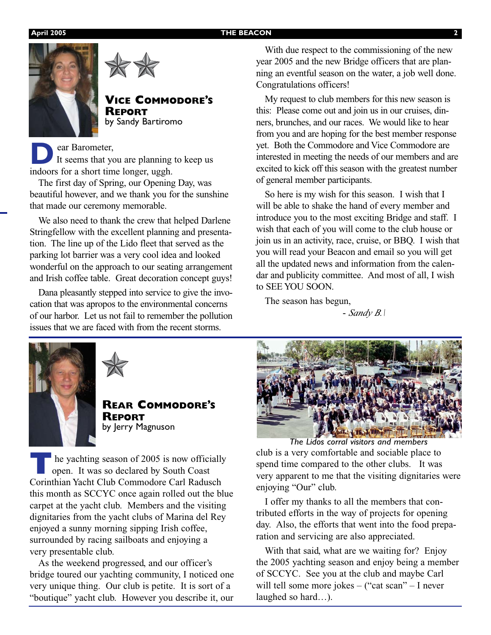#### **April 2005 THE BEACON 2**





#### **VICE COMMODORE'S REPORT** by Sandy Bartiromo

**D**ear Barometer,<br>It seems that ye It seems that you are planning to keep us indoors for a short time longer, uggh.

The first day of Spring, our Opening Day, was beautiful however, and we thank you for the sunshine that made our ceremony memorable.

We also need to thank the crew that helped Darlene Stringfellow with the excellent planning and presentation. The line up of the Lido fleet that served as the parking lot barrier was a very cool idea and looked wonderful on the approach to our seating arrangement and Irish coffee table. Great decoration concept guys!

Dana pleasantly stepped into service to give the invocation that was apropos to the environmental concerns of our harbor. Let us not fail to remember the pollution issues that we are faced with from the recent storms.

With due respect to the commissioning of the new year 2005 and the new Bridge officers that are planning an eventful season on the water, a job well done. Congratulations officers!

My request to club members for this new season is this: Please come out and join us in our cruises, dinners, brunches, and our races. We would like to hear from you and are hoping for the best member response yet. Both the Commodore and Vice Commodore are interested in meeting the needs of our members and are excited to kick off this season with the greatest number of general member participants.

So here is my wish for this season. I wish that I will be able to shake the hand of every member and introduce you to the most exciting Bridge and staff. I wish that each of you will come to the club house or join us in an activity, race, cruise, or BBQ. I wish that you will read your Beacon and email so you will get all the updated news and information from the calendar and publicity committee. And most of all, I wish to SEE YOU SOON.

The season has begun,

- *Sandy B.\*





**REAR COMMODORE'S REPORT** by Jerry Magnuson

**T**he yachting season of 2005 is now officially open. It was so declared by South Coast Corinthian Yacht Club Commodore Carl Radusch this month as SCCYC once again rolled out the blue carpet at the yacht club. Members and the visiting dignitaries from the yacht clubs of Marina del Rey enjoyed a sunny morning sipping Irish coffee, surrounded by racing sailboats and enjoying a very presentable club.

As the weekend progressed, and our officer's bridge toured our yachting community, I noticed one very unique thing. Our club is petite. It is sort of a "boutique" yacht club. However you describe it, our



club is a very comfortable and sociable place to spend time compared to the other clubs. It was very apparent to me that the visiting dignitaries were enjoying "Our" club. *The Lidos corral visitors and members*

I offer my thanks to all the members that contributed efforts in the way of projects for opening day. Also, the efforts that went into the food preparation and servicing are also appreciated.

With that said, what are we waiting for? Enjoy the 2005 yachting season and enjoy being a member of SCCYC. See you at the club and maybe Carl will tell some more jokes – ("cat scan" – I never laughed so hard…).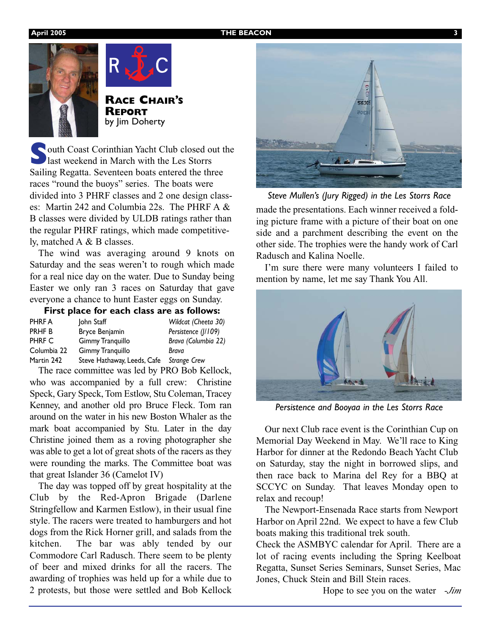



**RACE CHAIR'S REPORT** by Jim Doherty

**South Coast Corinthian Yacht Club closed out the** last weekend in March with the Les Storrs Sailing Regatta. Seventeen boats entered the three races "round the buoys" series. The boats were divided into 3 PHRF classes and 2 one design classes: Martin 242 and Columbia 22s. The PHRF A & B classes were divided by ULDB ratings rather than the regular PHRF ratings, which made competitively, matched A & B classes.

The wind was averaging around 9 knots on Saturday and the seas weren't to rough which made for a real nice day on the water. Due to Sunday being Easter we only ran 3 races on Saturday that gave everyone a chance to hunt Easter eggs on Sunday.

|   | First place for each class are as follows: |  |  |              |  |
|---|--------------------------------------------|--|--|--------------|--|
| . |                                            |  |  | $\mathbf{a}$ |  |

| PHRF A      | John Staff                  | Wildcat (Cheeta 30) |
|-------------|-----------------------------|---------------------|
| PRHF B      | Bryce Benjamin              | Persistence ( /109) |
| PHRF C      | Gimmy Tranquillo            | Brava (Columbia 22) |
| Columbia 22 | Gimmy Tranquillo            | Brava               |
| Martin 242  | Steve Hathaway, Leeds, Cafe | <b>Strange Crew</b> |

The race committee was led by PRO Bob Kellock, who was accompanied by a full crew: Christine Speck, Gary Speck, Tom Estlow, Stu Coleman, Tracey Kenney, and another old pro Bruce Fleck. Tom ran around on the water in his new Boston Whaler as the mark boat accompanied by Stu. Later in the day Christine joined them as a roving photographer she was able to get a lot of great shots of the racers as they were rounding the marks. The Committee boat was that great Islander 36 (Camelot IV)

The day was topped off by great hospitality at the Club by the Red-Apron Brigade (Darlene Stringfellow and Karmen Estlow), in their usual fine style. The racers were treated to hamburgers and hot dogs from the Rick Horner grill, and salads from the kitchen. The bar was ably tended by our Commodore Carl Radusch. There seem to be plenty of beer and mixed drinks for all the racers. The awarding of trophies was held up for a while due to 2 protests, but those were settled and Bob Kellock



made the presentations. Each winner received a folding picture frame with a picture of their boat on one side and a parchment describing the event on the other side. The trophies were the handy work of Carl Radusch and Kalina Noelle.

I'm sure there were many volunteers I failed to mention by name, let me say Thank You All.



*Persistence and Booyaa in the Les Storrs Race*

Our next Club race event is the Corinthian Cup on Memorial Day Weekend in May. We'll race to King Harbor for dinner at the Redondo Beach Yacht Club on Saturday, stay the night in borrowed slips, and then race back to Marina del Rey for a BBQ at SCCYC on Sunday. That leaves Monday open to relax and recoup!

The Newport-Ensenada Race starts from Newport Harbor on April 22nd. We expect to have a few Club boats making this traditional trek south.

Check the ASMBYC calendar for April. There are a lot of racing events including the Spring Keelboat Regatta, Sunset Series Seminars, Sunset Series, Mac Jones, Chuck Stein and Bill Stein races.

Hope to see you on the water *-Jim*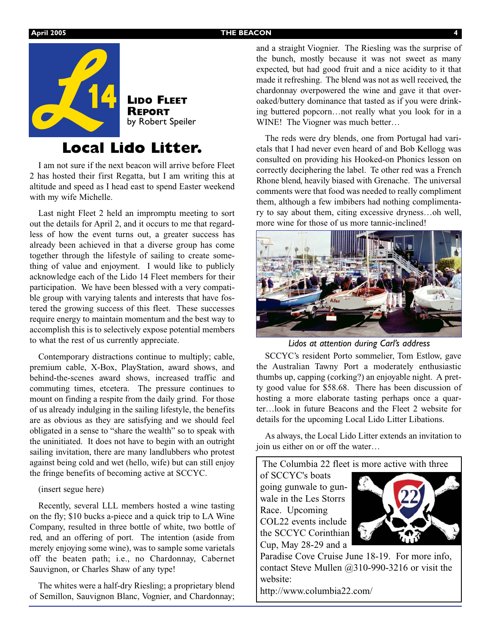

## **Local Lido Litter.**

I am not sure if the next beacon will arrive before Fleet 2 has hosted their first Regatta, but I am writing this at altitude and speed as I head east to spend Easter weekend with my wife Michelle.

Last night Fleet 2 held an impromptu meeting to sort out the details for April 2, and it occurs to me that regardless of how the event turns out, a greater success has already been achieved in that a diverse group has come together through the lifestyle of sailing to create something of value and enjoyment. I would like to publicly acknowledge each of the Lido 14 Fleet members for their participation. We have been blessed with a very compatible group with varying talents and interests that have fostered the growing success of this fleet. These successes require energy to maintain momentum and the best way to accomplish this is to selectively expose potential members to what the rest of us currently appreciate.

Contemporary distractions continue to multiply; cable, premium cable, X-Box, PlayStation, award shows, and behind-the-scenes award shows, increased traffic and commuting times, etcetera. The pressure continues to mount on finding a respite from the daily grind. For those of us already indulging in the sailing lifestyle, the benefits are as obvious as they are satisfying and we should feel obligated in a sense to "share the wealth" so to speak with the uninitiated. It does not have to begin with an outright sailing invitation, there are many landlubbers who protest against being cold and wet (hello, wife) but can still enjoy the fringe benefits of becoming active at SCCYC.

#### (insert segue here)

Recently, several LLL members hosted a wine tasting on the fly; \$10 bucks a-piece and a quick trip to LA Wine Company, resulted in three bottle of white, two bottle of red, and an offering of port. The intention (aside from merely enjoying some wine), was to sample some varietals off the beaten path; i.e., no Chardonnay, Cabernet Sauvignon, or Charles Shaw of any type!

The whites were a half-dry Riesling; a proprietary blend of Semillon, Sauvignon Blanc, Vognier, and Chardonnay;

and a straight Viognier. The Riesling was the surprise of the bunch, mostly because it was not sweet as many expected, but had good fruit and a nice acidity to it that made it refreshing. The blend was not as well received, the chardonnay overpowered the wine and gave it that overoaked/buttery dominance that tasted as if you were drinking buttered popcorn…not really what you look for in a WINE! The Viogner was much better...

The reds were dry blends, one from Portugal had varietals that I had never even heard of and Bob Kellogg was consulted on providing his Hooked-on Phonics lesson on correctly deciphering the label. Te other red was a French Rhone blend, heavily biased with Grenache. The universal comments were that food was needed to really compliment them, although a few imbibers had nothing complimentary to say about them, citing excessive dryness…oh well, more wine for those of us more tannic-inclined!



*Lidos at attention during Carl's address*

SCCYC's resident Porto sommelier, Tom Estlow, gave the Australian Tawny Port a moderately enthusiastic thumbs up, capping (corking?) an enjoyable night. A pretty good value for \$58.68. There has been discussion of hosting a more elaborate tasting perhaps once a quarter…look in future Beacons and the Fleet 2 website for details for the upcoming Local Lido Litter Libations.

As always, the Local Lido Litter extends an invitation to join us either on or off the water…

The Columbia 22 fleet is more active with three

of SCCYC's boats going gunwale to gunwale in the Les Storrs Race. Upcoming COL22 events include the SCCYC Corinthian Cup, May 28-29 and a



Paradise Cove Cruise June 18-19. For more info, contact Steve Mullen @310-990-3216 or visit the website:

http://www.columbia22.com/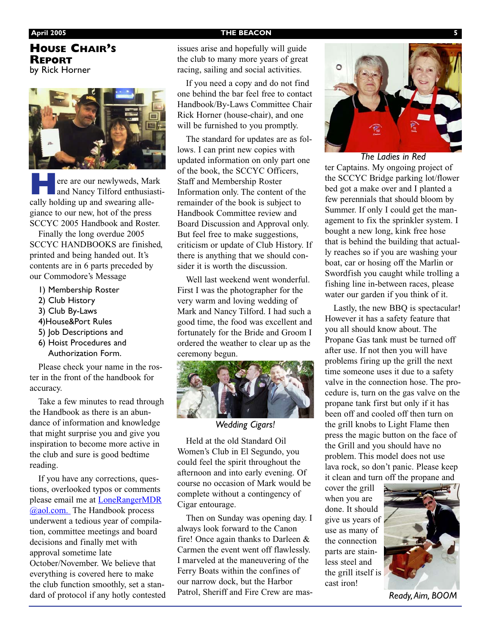### **HOUSE CHAIR'S REPORT** by Rick Horner



ere are our newlyweds, Mark and Nancy Tilford enthusiastically holding up and swearing allegiance to our new, hot of the press SCCYC 2005 Handbook and Roster.

Finally the long overdue 2005 SCCYC HANDBOOKS are finished, printed and being handed out. It's contents are in 6 parts preceded by our Commodore's Message

- 1) Membership Roster
- 2) Club History
- 3) Club By-Laws
- 4)House&Port Rules
- 5) Job Descriptions and
- 6) Hoist Procedures and Authorization Form.

Please check your name in the roster in the front of the handbook for accuracy.

Take a few minutes to read through the Handbook as there is an abundance of information and knowledge that might surprise you and give you inspiration to become more active in the club and sure is good bedtime reading.

If you have any corrections, questions, overlooked typos or comments please email me at LoneRangerMDR @aol.com. The Handbook process underwent a tedious year of compilation, committee meetings and board decisions and finally met with approval sometime late October/November. We believe that everything is covered here to make the club function smoothly, set a standard of protocol if any hotly contested

#### **April 2005** THE BEACON

issues arise and hopefully will guide the club to many more years of great racing, sailing and social activities.

If you need a copy and do not find one behind the bar feel free to contact Handbook/By-Laws Committee Chair Rick Horner (house-chair), and one will be furnished to you promptly.

The standard for updates are as follows. I can print new copies with updated information on only part one of the book, the SCCYC Officers, Staff and Membership Roster Information only. The content of the remainder of the book is subject to Handbook Committee review and Board Discussion and Approval only. But feel free to make suggestions, criticism or update of Club History. If there is anything that we should consider it is worth the discussion.

Well last weekend went wonderful. First I was the photographer for the very warm and loving wedding of Mark and Nancy Tilford. I had such a good time, the food was excellent and fortunately for the Bride and Groom I ordered the weather to clear up as the ceremony begun.



*Wedding Cigars!*

Held at the old Standard Oil Women's Club in El Segundo, you could feel the spirit throughout the afternoon and into early evening. Of course no occasion of Mark would be complete without a contingency of Cigar entourage.

Then on Sunday was opening day. I always look forward to the Canon fire! Once again thanks to Darleen & Carmen the event went off flawlessly. I marveled at the maneuvering of the Ferry Boats within the confines of our narrow dock, but the Harbor Patrol, Sheriff and Fire Crew are mas-



*The Ladies in Red*

ter Captains. My ongoing project of the SCCYC Bridge parking lot/flower bed got a make over and I planted a few perennials that should bloom by Summer. If only I could get the management to fix the sprinkler system. I bought a new long, kink free hose that is behind the building that actually reaches so if you are washing your boat, car or hosing off the Marlin or Swordfish you caught while trolling a fishing line in-between races, please water our garden if you think of it.

Lastly, the new BBQ is spectacular! However it has a safety feature that you all should know about. The Propane Gas tank must be turned off after use. If not then you will have problems firing up the grill the next time someone uses it due to a safety valve in the connection hose. The procedure is, turn on the gas valve on the propane tank first but only if it has been off and cooled off then turn on the grill knobs to Light Flame then press the magic button on the face of the Grill and you should have no problem. This model does not use lava rock, so don't panic. Please keep it clean and turn off the propane and

cover the grill when you are done. It should give us years of use as many of the connection parts are stainless steel and the grill itself is cast iron!



*Ready,Aim, BOOM*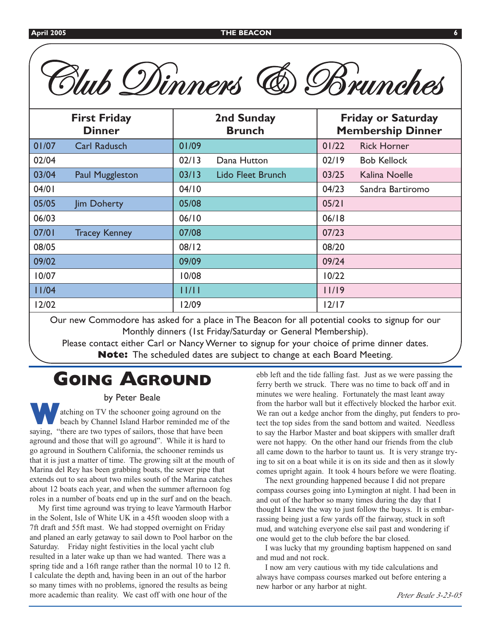| Blub Dinners<br><b>6 Brunches</b>    |                        |                             |                   |                                                       |                    |  |  |  |
|--------------------------------------|------------------------|-----------------------------|-------------------|-------------------------------------------------------|--------------------|--|--|--|
| <b>First Friday</b><br><b>Dinner</b> |                        | 2nd Sunday<br><b>Brunch</b> |                   | <b>Friday or Saturday</b><br><b>Membership Dinner</b> |                    |  |  |  |
| 01/07                                | <b>Carl Radusch</b>    | 01/09                       |                   | 01/22                                                 | <b>Rick Horner</b> |  |  |  |
| 02/04                                |                        | 02/13                       | Dana Hutton       | 02/19                                                 | <b>Bob Kellock</b> |  |  |  |
| 03/04                                | <b>Paul Muggleston</b> | 03/13                       | Lido Fleet Brunch | 03/25                                                 | Kalina Noelle      |  |  |  |
| 04/01                                |                        | 04/10                       |                   | 04/23                                                 | Sandra Bartiromo   |  |  |  |
| 05/05                                | Jim Doherty            | 05/08                       |                   | 05/21                                                 |                    |  |  |  |
| 06/03                                |                        | 06/10                       |                   | 06/18                                                 |                    |  |  |  |
| 07/01                                | <b>Tracey Kenney</b>   | 07/08                       |                   | 07/23                                                 |                    |  |  |  |
| 08/05                                |                        | 08/12                       |                   | 08/20                                                 |                    |  |  |  |
| 09/02                                |                        | 09/09                       |                   | 09/24                                                 |                    |  |  |  |
| 10/07                                |                        | 10/08                       |                   | 10/22                                                 |                    |  |  |  |
| 11/04                                |                        | 11/11                       |                   | 11/19                                                 |                    |  |  |  |
| 12/02                                |                        | 12/09                       |                   | $12/17$                                               |                    |  |  |  |

Our new Commodore has asked for a place in The Beacon for all potential cooks to signup for our Monthly dinners (1st Friday/Saturday or General Membership).

Please contact either Carl or Nancy Werner to signup for your choice of prime dinner dates. **Note:** The scheduled dates are subject to change at each Board Meeting.

# **GOING AGROUND**

#### by Peter Beale

atching on TV the schooner going aground on the beach by Channel Island Harbor reminded me of the saying, "there are two types of sailors, those that have been aground and those that will go aground". While it is hard to go aground in Southern California, the schooner reminds us that it is just a matter of time. The growing silt at the mouth of Marina del Rey has been grabbing boats, the sewer pipe that extends out to sea about two miles south of the Marina catches about 12 boats each year, and when the summer afternoon fog roles in a number of boats end up in the surf and on the beach.

My first time aground was trying to leave Yarmouth Harbor in the Solent, Isle of White UK in a 45ft wooden sloop with a 7ft draft and 55ft mast. We had stopped overnight on Friday and planed an early getaway to sail down to Pool harbor on the Saturday. Friday night festivities in the local yacht club resulted in a later wake up than we had wanted. There was a spring tide and a 16ft range rather than the normal 10 to 12 ft. I calculate the depth and, having been in an out of the harbor so many times with no problems, ignored the results as being more academic than reality. We cast off with one hour of the

ebb left and the tide falling fast. Just as we were passing the ferry berth we struck. There was no time to back off and in minutes we were healing. Fortunately the mast leant away from the harbor wall but it effectively blocked the harbor exit. We ran out a kedge anchor from the dinghy, put fenders to protect the top sides from the sand bottom and waited. Needless to say the Harbor Master and boat skippers with smaller draft were not happy. On the other hand our friends from the club all came down to the harbor to taunt us. It is very strange trying to sit on a boat while it is on its side and then as it slowly comes upright again. It took 4 hours before we were floating.

The next grounding happened because I did not prepare compass courses going into Lymington at night. I had been in and out of the harbor so many times during the day that I thought I knew the way to just follow the buoys. It is embarrassing being just a few yards off the fairway, stuck in soft mud, and watching everyone else sail past and wondering if one would get to the club before the bar closed.

I was lucky that my grounding baptism happened on sand and mud and not rock.

I now am very cautious with my tide calculations and always have compass courses marked out before entering a new harbor or any harbor at night.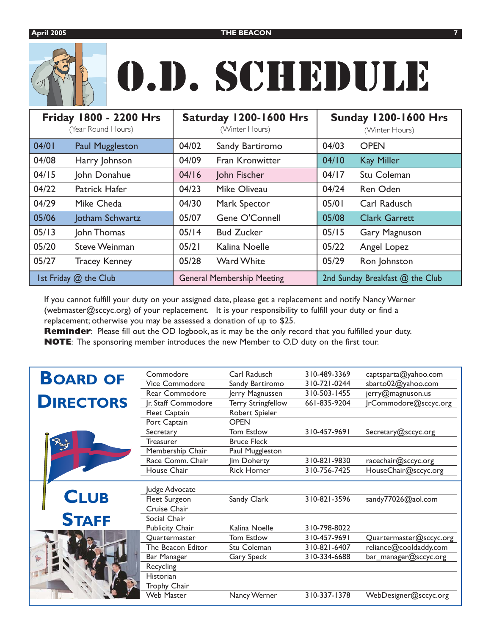# O.D. SCHEDULE

|       | Friday 1800 - 2200 Hrs<br>(Year Round Hours) |       | Saturday 1200-1600 Hrs<br>(Winter Hours) | <b>Sunday 1200-1600 Hrs</b><br>(Winter Hours) |                      |  |
|-------|----------------------------------------------|-------|------------------------------------------|-----------------------------------------------|----------------------|--|
| 04/01 | <b>Paul Muggleston</b>                       | 04/02 | Sandy Bartiromo                          | 04/03                                         | <b>OPEN</b>          |  |
| 04/08 | Harry Johnson                                | 04/09 | Fran Kronwitter                          | 04/10                                         | <b>Kay Miller</b>    |  |
| 04/15 | John Donahue                                 | 04/16 | John Fischer                             | 04/17                                         | Stu Coleman          |  |
| 04/22 | Patrick Hafer                                | 04/23 | Mike Oliveau                             | 04/24                                         | Ren Oden             |  |
| 04/29 | Mike Cheda                                   | 04/30 | Mark Spector                             | 05/01                                         | Carl Radusch         |  |
| 05/06 | Jotham Schwartz                              | 05/07 | Gene O'Connell                           | 05/08                                         | <b>Clark Garrett</b> |  |
| 05/13 | John Thomas                                  | 05/14 | <b>Bud Zucker</b>                        | 05/15                                         | <b>Gary Magnuson</b> |  |
| 05/20 | <b>Steve Weinman</b>                         | 05/21 | Kalina Noelle                            | 05/22                                         | Angel Lopez          |  |
| 05/27 | <b>Tracey Kenney</b>                         | 05/28 | <b>Ward White</b>                        | 05/29                                         | Ron Johnston         |  |
|       | Ist Friday @ the Club                        |       | <b>General Membership Meeting</b>        | 2nd Sunday Breakfast @ the Club               |                      |  |

If you cannot fulfill your duty on your assigned date, please get a replacement and notify Nancy Werner (webmaster@sccyc.org) of your replacement. It is your responsibility to fulfill your duty or find a replacement; otherwise you may be assessed a donation of up to \$25.

**Reminder**: Please fill out the OD logbook, as it may be the only record that you fulfilled your duty. **NOTE**: The sponsoring member introduces the new Member to O.D duty on the first tour.

| <b>BOARD OF</b>  | Commodore           | Carl Radusch              | 310-489-3369 | captsparta@yahoo.com    |
|------------------|---------------------|---------------------------|--------------|-------------------------|
|                  | Vice Commodore      | Sandy Bartiromo           | 310-721-0244 | sbarto02@yahoo.com      |
|                  | Rear Commodore      | Jerry Magnussen           | 310-503-1455 | jerry@magnuson.us       |
| <b>DIRECTORS</b> | Jr. Staff Commodore | <b>Terry Stringfellow</b> | 661-835-9204 | rCommodore@sccyc.org    |
|                  | Fleet Captain       | Robert Spieler            |              |                         |
|                  | Port Captain        | <b>OPEN</b>               |              |                         |
|                  | Secretary           | Tom Estlow                | 310-457-9691 | Secretary@sccyc.org     |
|                  | Treasurer           | <b>Bruce Fleck</b>        |              |                         |
|                  | Membership Chair    | Paul Muggleston           |              |                         |
|                  | Race Comm. Chair    | Jim Doherty               | 310-821-9830 | racechair@sccyc.org     |
|                  | House Chair         | <b>Rick Horner</b>        | 310-756-7425 | HouseChair@sccyc.org    |
|                  |                     |                           |              |                         |
|                  | Judge Advocate      |                           |              |                         |
| <b>CLUB</b>      | Fleet Surgeon       | Sandy Clark               | 310-821-3596 | sandy77026@aol.com      |
|                  | Cruise Chair        |                           |              |                         |
| <b>STAFF</b>     | Social Chair        |                           |              |                         |
|                  | Publicity Chair     | Kalina Noelle             | 310-798-8022 |                         |
|                  | Quartermaster       | Tom Estlow                | 310-457-9691 | Quartermaster@sccyc.org |
|                  | The Beacon Editor   | Stu Coleman               | 310-821-6407 | reliance@cooldaddy.com  |
|                  | Bar Manager         | <b>Gary Speck</b>         | 310-334-6688 | bar_manager@sccyc.org   |
|                  | Recycling           |                           |              |                         |
|                  | Historian           |                           |              |                         |
|                  | Trophy Chair        |                           |              |                         |
|                  | <b>Web Master</b>   | Nancy Werner              | 310-337-1378 | WebDesigner@sccyc.org   |